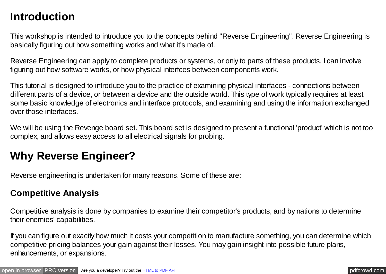# **Introduction**

This workshop is intended to introduce you to the concepts behind "Reverse Engineering". Reverse Engineering is basically figuring out how something works and what it's made of.

Reverse Engineering can apply to complete products or systems, or only to parts of these products. I can involve figuring out how software works, or how physical interfces between components work.

This tutorial is designed to introduce you to the practice of examining physical interfaces - connections between different parts of a device, or between a device and the outside world. This type of work typically requires at least some basic knowledge of electronics and interface protocols, and examining and using the information exchanged over those interfaces.

We will be using the Revenge board set. This board set is designed to present a functional 'product' which is not too complex, and allows easy access to all electrical signals for probing.

## **Why Reverse Engineer?**

Reverse engineering is undertaken for many reasons. Some of these are:

#### **Competitive Analysis**

Competitive analysis is done by companies to examine their competitor's products, and by nations to determine their enemies' capabilities.

If you can figure out exactly how much it costs your competition to manufacture something, you can determine which competitive pricing balances your gain against their losses. You may gain insight into possible future plans, enhancements, or expansions.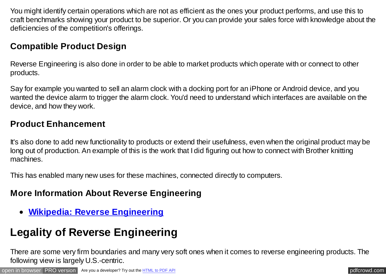You might identify certain operations which are not as efficient as the ones your product performs, and use this to craft benchmarks showing your product to be superior. Or you can provide your sales force with knowledge about the deficiencies of the competition's offerings.

### **Compatible Product Design**

Reverse Engineering is also done in order to be able to market products which operate with or connect to other products.

Say for example you wanted to sell an alarm clock with a docking port for an iPhone or Android device, and you wanted the device alarm to trigger the alarm clock. You'd need to understand which interfaces are available on the device, and how they work.

#### **Product Enhancement**

It's also done to add new functionality to products or extend their usefulness, even when the original product may be long out of production. An example of this is the work that I did figuring out how to connect with Brother knitting machines.

This has enabled many new uses for these machines, connected directly to computers.

#### **More Information About Reverse Engineering**

**[Wikipedia: Reverse Engineering](http://en.wikipedia.org/wiki/Reverse_engineering)**

# **Legality of Reverse Engineering**

There are some very firm boundaries and many very soft ones when it comes to reverse engineering products. The following view is largely U.S.-centric.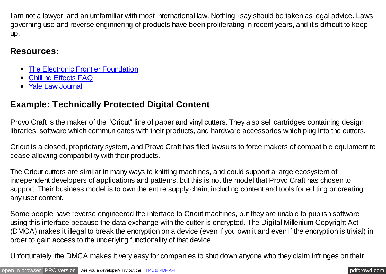I am not a lawyer, and an umfamiliar with most international law. Nothing I say should be taken as legal advice. Laws governing use and reverse enginnering of products have been proliferating in recent years, and it's difficult to keep up.

#### **Resources:**

- [The Electronic Frontier Foundation](https://www.eff.org/issues/coders/reverse-engineering-faq)
- [Chilling Effects FAQ](http://www.chillingeffects.org/reverse/faq.cgi)
- [Yale Law Journal](http://www.yalelawjournal.org/article/the-law-and-economics-of-reverse-engineering)

### **Example: Technically Protected Digital Content**

Provo Craft is the maker of the "Cricut" line of paper and vinyl cutters. They also sell cartridges containing design libraries, software which communicates with their products, and hardware accessories which plug into the cutters.

Cricut is a closed, proprietary system, and Provo Craft has filed lawsuits to force makers of compatible equipment to cease allowing compatibility with their products.

The Cricut cutters are similar in many ways to knitting machines, and could support a large ecosystem of independent developers of applications and patterns, but this is not the model that Provo Craft has chosen to support. Their business model is to own the entire supply chain, including content and tools for editing or creating any user content.

Some people have reverse engineered the interface to Cricut machines, but they are unable to publish software using this interface because the data exchange with the cutter is encrypted. The Digital Millenium Copyright Act (DMCA) makes it illegal to break the encryption on a device (even if you own it and even if the encryption is trivial) in order to gain access to the underlying functionality of that device.

Unfortunately, the DMCA makes it very easy for companies to shut down anyone who they claim infringes on their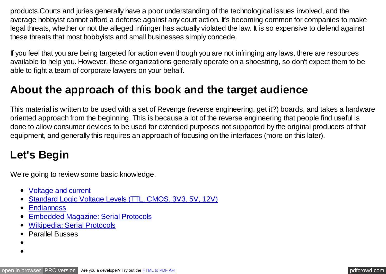products.Courts and juries generally have a poor understanding of the technological issues involved, and the average hobbyist cannot afford a defense against any court action. It's becoming common for companies to make legal threats, whether or not the alleged infringer has actually violated the law. It is so expensive to defend against these threats that most hobbyists and small businesses simply concede.

If you feel that you are being targeted for action even though you are not infringing any laws, there are resources available to help you. However, these organizations generally operate on a shoestring, so don't expect them to be able to fight a team of corporate lawyers on your behalf.

## **About the approach of this book and the target audience**

This material is written to be used with a set of Revenge (reverse engineering, get it?) boards, and takes a hardware oriented approach from the beginning. This is because a lot of the reverse engineering that people find useful is done to allow consumer devices to be used for extended purposes not supported by the original producers of that equipment, and generally this requires an approach of focusing on the interfaces (more on this later).

## **Let's Begin**

We're going to review some basic knowledge.

- [Voltage and current](https://learn.sparkfun.com/tutorials/voltage-current-resistance-and-ohms-law/all)
- [Standard Logic Voltage Levels \(TTL, CMOS, 3V3, 5V, 12V\)](http://en.wikipedia.org/wiki/Logic_level)
- [Endianness](http://en.wikipedia.org/wiki/Endianness)
- [Embedded Magazine: Serial Protocols](http://www.embedded.com/design/connectivity/4023975/Serial-Protocols-Compared)  $\bullet$
- [Wikipedia: Serial Protocols](http://en.wikipedia.org/wiki/Serial_communication)
- Parallel Busses
- 
-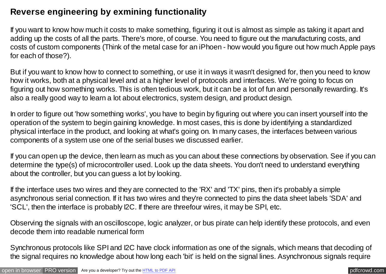#### **Reverse engineering by exmining functionality**

If you want to know how much it costs to make something, figuring it out is almost as simple as taking it apart and adding up the costs of all the parts. There's more, of course. You need to figure out the manufacturing costs, and costs of custom components (Think of the metal case for an iPhoen - how would you figure out how much Apple pays for each of those?).

But if you want to know how to connect to something, or use it in ways it wasn't designed for, then you need to know how it works, both at a physical level and at a higher level of protocols and interfaces. We're going to focus on figuring out how something works. This is often tedious work, but it can be a lot of fun and personally rewarding. It's also a really good way to learn a lot about electronics, system design, and product design.

In order to figure out 'how something works', you have to begin by figuring out where you can insert yourself into the operation of the system to begin gaining knowledge. In most cases, this is done by identifying a standardized physical interface in the product, and looking at what's going on. In many cases, the interfaces between various components of a system use one of the serial buses we discussed earlier.

If you can open up the device, then learn as much as you can about these connections by observation. See if you can determine the type(s) of microcontroller used. Look up the data sheets. You don't need to understand everything about the controller, but you can guess a lot by looking.

If the interface uses two wires and they are connected to the 'RX' and 'TX' pins, then it's probably a simple asynchronous serial connection. If it has two wires and they're connected to pins the data sheet labels 'SDA' and 'SCL', then the interface is probably I2C. If there are threefour wires, it may be SPI, etc.

Observing the signals with an oscilloscope, logic analyzer, or bus pirate can help identify these protocols, and even decode them into readable numerical form

Synchronous protocols like SPI and I2C have clock information as one of the signals, which means that decoding of the signal requires no knowledge about how long each 'bit' is held on the signal lines. Asynchronous signals require